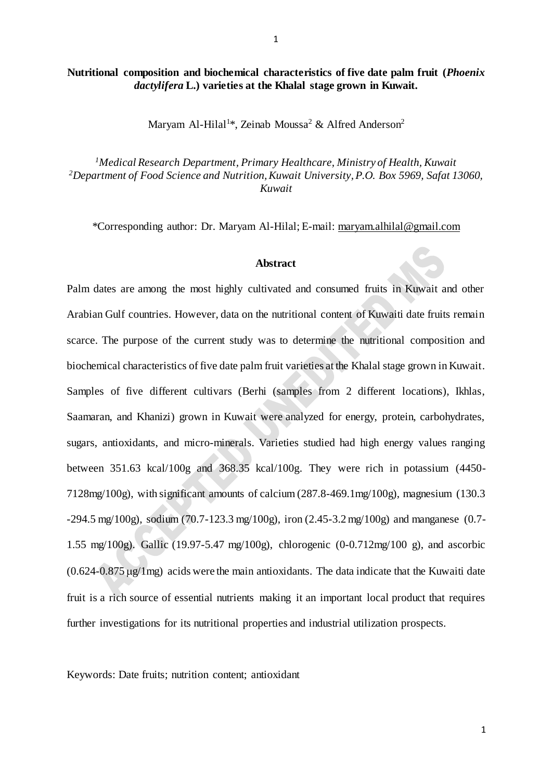## **Nutritional composition and biochemical characteristics of five date palm fruit (***Phoenix dactylifera* **L.) varieties at the Khalal stage grown in Kuwait.**

Maryam Al-Hilal<sup>1\*</sup>, Zeinab Moussa<sup>2</sup> & Alfred Anderson<sup>2</sup>

*<sup>1</sup>Medical Research Department, Primary Healthcare, Ministry of Health, Kuwait <sup>2</sup>Department of Food Science and Nutrition, Kuwait University, P.O. Box 5969, Safat 13060, Kuwait*

\*Corresponding author: Dr. Maryam Al-Hilal; E-mail[: maryam.alhilal@gmail.com](mailto:maryam.alhilal@gmail.com)

## **Abstract**

Palm dates are among the most highly cultivated and consumed fruits in Kuwait and other Arabian Gulf countries. However, data on the nutritional content of Kuwaiti date fruits remain scarce. The purpose of the current study was to determine the nutritional composition and biochemical characteristics of five date palm fruit varieties at the Khalal stage grown in Kuwait. Samples of five different cultivars (Berhi (samples from 2 different locations), Ikhlas, Saamaran, and Khanizi) grown in Kuwait were analyzed for energy, protein, carbohydrates, sugars, antioxidants, and micro-minerals. Varieties studied had high energy values ranging between 351.63 kcal/100g and 368.35 kcal/100g. They were rich in potassium (4450- 7128mg/100g), with significant amounts of calcium (287.8-469.1mg/100g), magnesium (130.3 -294.5 mg/100g), sodium (70.7-123.3 mg/100g), iron (2.45-3.2 mg/100g) and manganese (0.7- 1.55 mg/100g). Gallic (19.97-5.47 mg/100g), chlorogenic (0-0.712mg/100 g), and ascorbic  $(0.624 - 0.875 \,\mu\text{g/1mg})$  acids were the main antioxidants. The data indicate that the Kuwaiti date fruit is a rich source of essential nutrients making it an important local product that requires further investigations for its nutritional properties and industrial utilization prospects.

Keywords: Date fruits; nutrition content; antioxidant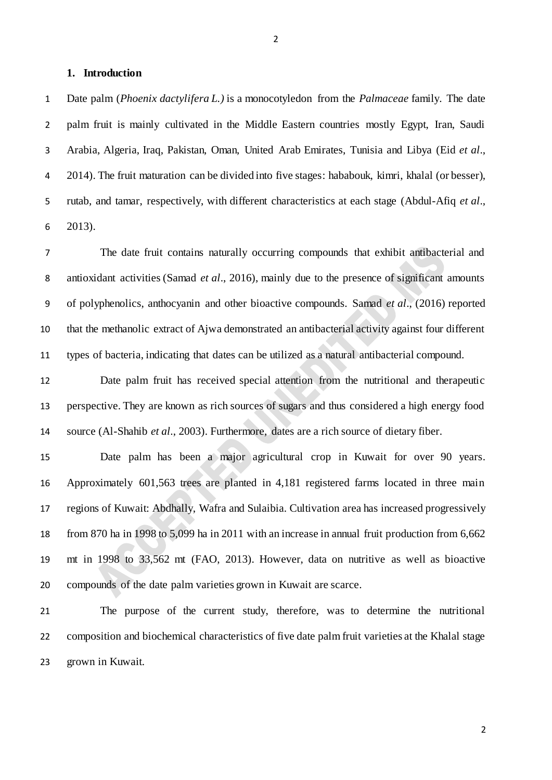#### **1. Introduction**

 Date palm (*Phoenix dactylifera L.)* is a monocotyledon from the *Palmaceae* family. The date palm fruit is mainly cultivated in the Middle Eastern countries mostly Egypt, Iran, Saudi Arabia, Algeria, Iraq, Pakistan, Oman, United Arab Emirates, Tunisia and Libya (Eid *et al*., 2014). The fruit maturation can be divided into five stages: hababouk, kimri, khalal (or besser), rutab, and tamar, respectively, with different characteristics at each stage (Abdul-Afiq *et al*., 2013).

 The date fruit contains naturally occurring compounds that exhibit antibacterial and antioxidant activities (Samad *et al*., 2016), mainly due to the presence of significant amounts of polyphenolics, anthocyanin and other bioactive compounds. Samad *et al*., (2016) reported that the methanolic extract of Ajwa demonstrated an antibacterial activity against four different types of bacteria, indicating that dates can be utilized as a natural antibacterial compound.

 Date palm fruit has received special attention from the nutritional and therapeutic perspective. They are known as rich sources of sugars and thus considered a high energy food source (Al-Shahib *et al*., 2003). Furthermore, dates are a rich source of dietary fiber.

 Date palm has been a major agricultural crop in Kuwait for over 90 years. Approximately 601,563 trees are planted in 4,181 registered farms located in three main regions of Kuwait: Abdhally, Wafra and Sulaibia. Cultivation area has increased progressively from 870 ha in 1998 to 5,099 ha in 2011 with an increase in annual fruit production from 6,662 mt in 1998 to 33,562 mt (FAO, 2013). However, data on nutritive as well as bioactive compounds of the date palm varieties grown in Kuwait are scarce.

 The purpose of the current study, therefore, was to determine the nutritional composition and biochemical characteristics of five date palm fruit varieties at the Khalal stage grown in Kuwait.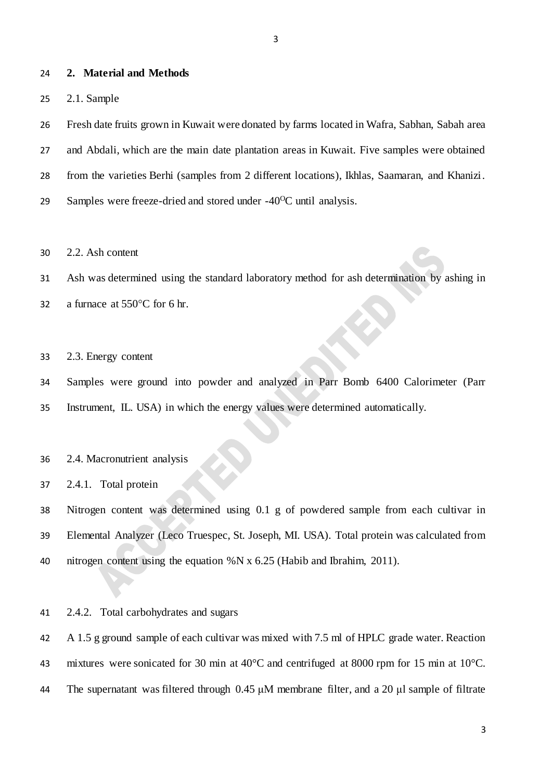#### **2. Material and Methods**

2.1. Sample

 Fresh date fruits grown in Kuwait were donated by farms located in Wafra, Sabhan, Sabah area and Abdali, which are the main date plantation areas in Kuwait. Five samples were obtained from the varieties Berhi (samples from 2 different locations), Ikhlas, Saamaran, and Khanizi. Samples were freeze-dried and stored under -40<sup>o</sup>C until analysis.

2.2. Ash content

Ash was determined using the standard laboratory method for ash determination by ashing in

32 a furnace at  $550^{\circ}$ C for 6 hr.

2.3. Energy content

 Samples were ground into powder and analyzed in Parr Bomb 6400 Calorimeter (Parr Instrument, IL. USA) in which the energy values were determined automatically.

#### 2.4. Macronutrient analysis

2.4.1. Total protein

 Nitrogen content was determined using 0.1 g of powdered sample from each cultivar in Elemental Analyzer (Leco Truespec, St. Joseph, MI. USA). Total protein was calculated from nitrogen content using the equation %N x 6.25 (Habib and Ibrahim, 2011).

2.4.2. Total carbohydrates and sugars

 A 1.5 g ground sample of each cultivar was mixed with 7.5 ml of HPLC grade water. Reaction 43 mixtures were sonicated for 30 min at 40°C and centrifuged at 8000 rpm for 15 min at 10°C. The supernatant was filtered through 0.45 μM membrane filter, and a 20 μl sample of filtrate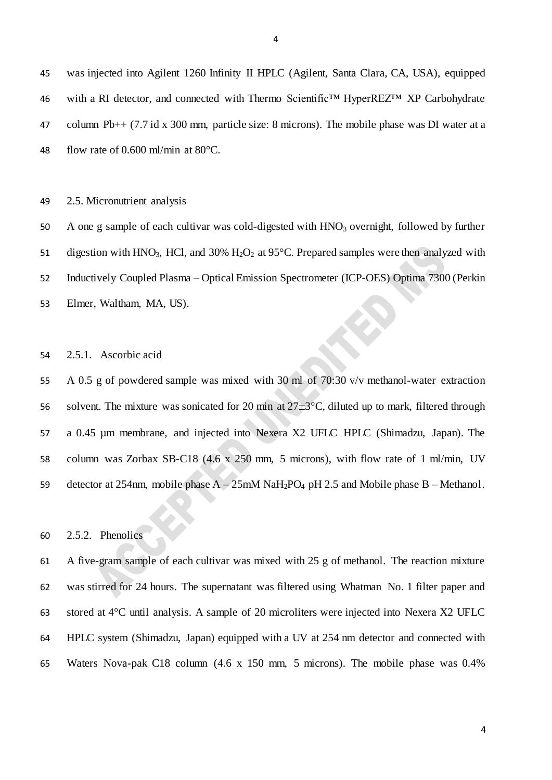was injected into Agilent 1260 Infinity II HPLC (Agilent, Santa Clara, CA, USA), equipped with a RI detector, and connected with Thermo Scientific™ HyperREZ™ XP Carbohydrate column Pb++ (7.7 id x 300 mm, particle size: 8 microns). The mobile phase was DI water at a 48 flow rate of 0.600 ml/min at  $80^{\circ}$ C.

2.5. Micronutrient analysis

50 A one g sample of each cultivar was cold-digested with HNO<sub>3</sub> overnight, followed by further 51 digestion with HNO<sub>3</sub>, HCl, and 30% H<sub>2</sub>O<sub>2</sub> at 95 $^{\circ}$ C. Prepared samples were then analyzed with Inductively Coupled Plasma – Optical Emission Spectrometer (ICP-OES) Optima 7300 (Perkin Elmer, Waltham, MA, US).

2.5.1. Ascorbic acid

 A 0.5 g of powdered sample was mixed with 30 ml of 70:30 v/v methanol-water extraction 56 solvent. The mixture was sonicated for 20 min at  $27\pm3\degree C$ , diluted up to mark, filtered through a 0.45 µm membrane, and injected into Nexera X2 UFLC HPLC (Shimadzu, Japan). The column was Zorbax SB-C18 (4.6 x 250 mm, 5 microns), with flow rate of 1 ml/min, UV 59 detector at 254nm, mobile phase  $A - 25$ mM NaH<sub>2</sub>PO<sub>4</sub> pH 2.5 and Mobile phase B – Methanol.

2.5.2. Phenolics

 A five-gram sample of each cultivar was mixed with 25 g of methanol. The reaction mixture was stirred for 24 hours. The supernatant was filtered using Whatman No. 1 filter paper and stored at 4°C until analysis. A sample of 20 microliters were injected into Nexera X2 UFLC HPLC system (Shimadzu, Japan) equipped with a UV at 254 nm detector and connected with Waters Nova-pak C18 column (4.6 x 150 mm, 5 microns). The mobile phase was 0.4%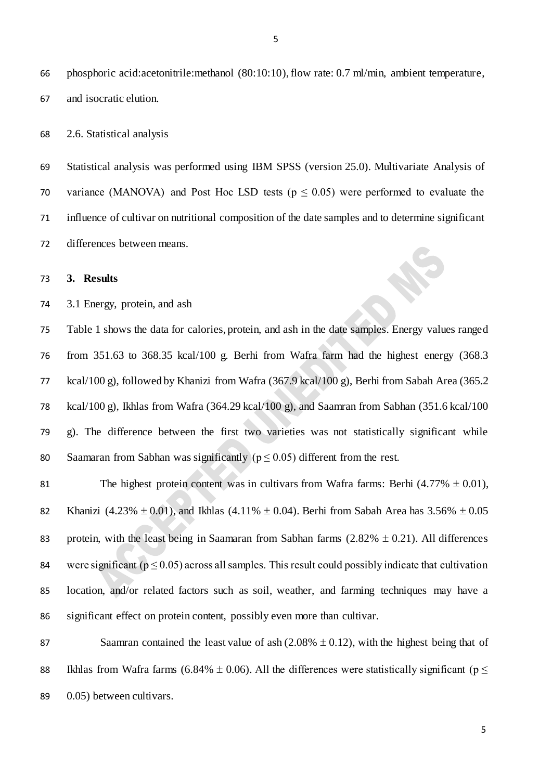phosphoric acid:acetonitrile:methanol (80:10:10), flow rate: 0.7 ml/min, ambient temperature, and isocratic elution.

2.6. Statistical analysis

 Statistical analysis was performed using IBM SPSS (version 25.0). Multivariate Analysis of 70 variance (MANOVA) and Post Hoc LSD tests ( $p \le 0.05$ ) were performed to evaluate the influence of cultivar on nutritional composition of the date samples and to determine significant differences between means.

## **3. Results**

3.1 Energy, protein, and ash

 Table 1 shows the data for calories, protein, and ash in the date samples. Energy values ranged from 351.63 to 368.35 kcal/100 g. Berhi from Wafra farm had the highest energy (368.3 kcal/100 g), followed by Khanizi from Wafra (367.9 kcal/100 g), Berhi from Sabah Area (365.2 kcal/100 g), Ikhlas from Wafra (364.29 kcal/100 g), and Saamran from Sabhan (351.6 kcal/100 g). The difference between the first two varieties was not statistically significant while 80 Saamaran from Sabhan was significantly ( $p \le 0.05$ ) different from the rest.

81 The highest protein content was in cultivars from Wafra farms: Berhi  $(4.77\% \pm 0.01)$ , 82 Khanizi (4.23%  $\pm$  0.01), and Ikhlas (4.11%  $\pm$  0.04). Berhi from Sabah Area has 3.56%  $\pm$  0.05 83 protein, with the least being in Saamaran from Sabhan farms  $(2.82\% \pm 0.21)$ . All differences 84 were significant ( $p \le 0.05$ ) across all samples. This result could possibly indicate that cultivation location, and/or related factors such as soil, weather, and farming techniques may have a significant effect on protein content, possibly even more than cultivar.

87 Saamran contained the least value of ash  $(2.08\% \pm 0.12)$ , with the highest being that of 88 Ikhlas from Wafra farms (6.84%  $\pm$  0.06). All the differences were statistically significant (p  $\leq$ 89 0.05) between cultivars.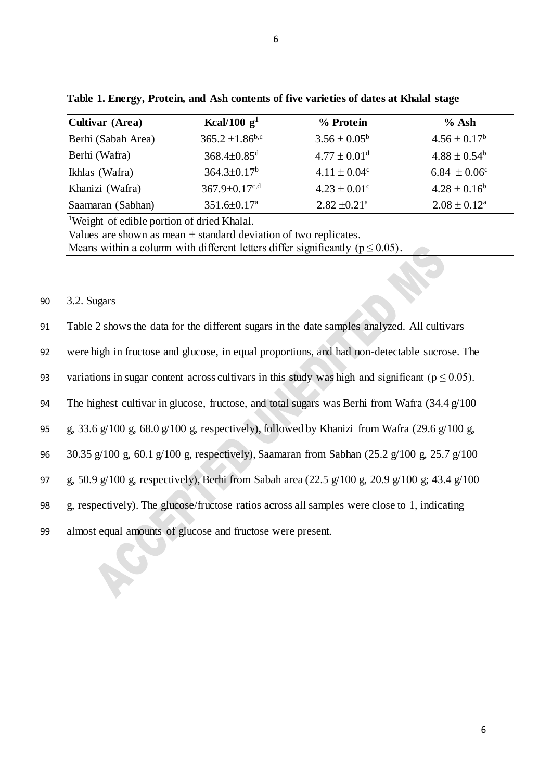| <b>Cultivar (Area)</b> | Kcal/100 $g1$                 | % Protein                    | $%$ Ash                    |
|------------------------|-------------------------------|------------------------------|----------------------------|
| Berhi (Sabah Area)     | $365.2 \pm 1.86^{\text{b,c}}$ | $3.56 \pm 0.05^b$            | $4.56 \pm 0.17^b$          |
| Berhi (Wafra)          | $368.4 \pm 0.85$ <sup>d</sup> | $4.77 \pm 0.01$ <sup>d</sup> | $4.88 \pm 0.54^b$          |
| Ikhlas (Wafra)         | $364.3 \pm 0.17^b$            | $4.11 \pm 0.04^c$            | 6.84 $\pm 0.06^{\circ}$    |
| Khanizi (Wafra)        | $367.9 \pm 0.17^{c,d}$        | $4.23 \pm 0.01$ <sup>c</sup> | $4.28 \pm 0.16^b$          |
| Saamaran (Sabhan)      | $351.6 \pm 0.17$ <sup>a</sup> | $2.82 \pm 0.21$ <sup>a</sup> | $2.08 \pm 0.12^{\text{a}}$ |

**Table 1. Energy, Protein, and Ash contents of five varieties of dates at Khalal stage**

<sup>1</sup>Weight of edible portion of dried Khalal.

Values are shown as mean  $\pm$  standard deviation of two replicates.

Means within a column with different letters differ significantly ( $p \le 0.05$ ).

# 90 3.2. Sugars

| 91 | Table 2 shows the data for the different sugars in the date samples analyzed. All cultivars |  |  |  |  |  |  |
|----|---------------------------------------------------------------------------------------------|--|--|--|--|--|--|
|----|---------------------------------------------------------------------------------------------|--|--|--|--|--|--|

92 were high in fructose and glucose, in equal proportions, and had non-detectable sucrose. The

93 variations in sugar content across cultivars in this study was high and significant ( $p \le 0.05$ ).

94 The highest cultivar in glucose, fructose, and total sugars was Berhi from Wafra (34.4 g/100)

95 g, 33.6 g/100 g, 68.0 g/100 g, respectively), followed by Khanizi from Wafra (29.6 g/100 g,

96 30.35 g/100 g, 60.1 g/100 g, respectively), Saamaran from Sabhan (25.2 g/100 g, 25.7 g/100

97 g, 50.9 g/100 g, respectively), Berhi from Sabah area (22.5 g/100 g, 20.9 g/100 g; 43.4 g/100

98 g, respectively). The glucose/fructose ratios across all samples were close to 1, indicating

99 almost equal amounts of glucose and fructose were present.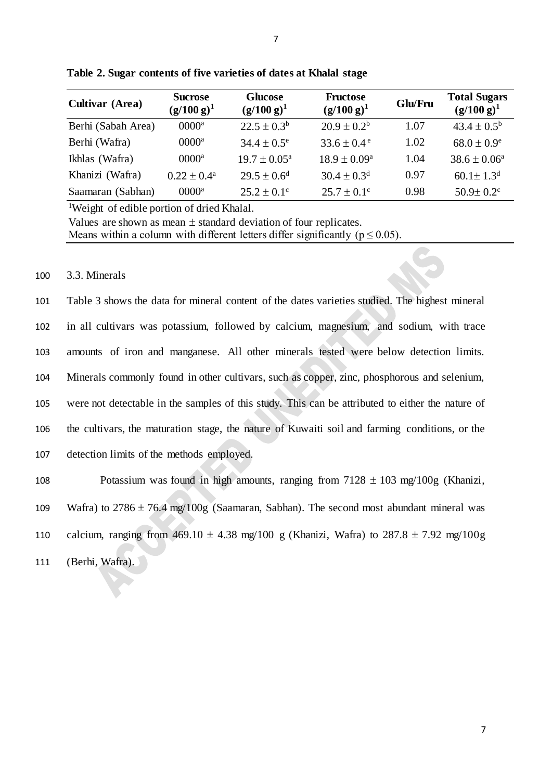| <b>Cultivar (Area)</b> | <b>Sucrose</b><br>$(g/100 g)^1$ | <b>Glucose</b><br>$(g/100 g)^1$ | <b>Fructose</b><br>$(g/100 g)^1$ | Glu/Fru | <b>Total Sugars</b><br>$(g/100 g)^1$ |
|------------------------|---------------------------------|---------------------------------|----------------------------------|---------|--------------------------------------|
| Berhi (Sabah Area)     | $0000$ <sup>a</sup>             | $22.5 \pm 0.3^b$                | $20.9 \pm 0.2^b$                 | 1.07    | $43.4 \pm 0.5^{\rm b}$               |
| Berhi (Wafra)          | $0000^a$                        | $34.4 \pm 0.5^{\circ}$          | $33.6 \pm 0.4^{\circ}$           | 1.02    | $68.0 \pm 0.9^e$                     |
| Ikhlas (Wafra)         | $0000^a$                        | $19.7 \pm 0.05^{\text{a}}$      | $18.9 \pm 0.09^{\rm a}$          | 1.04    | $38.6 \pm 0.06^{\circ}$              |
| Khanizi (Wafra)        | $0.22 \pm 0.4^{\text{a}}$       | $29.5 \pm 0.6^d$                | $30.4 \pm 0.3$ <sup>d</sup>      | 0.97    | $60.1 \pm 1.3$ <sup>d</sup>          |
| Saamaran (Sabhan)      | $0000^a$                        | $25.2 \pm 0.1^{\circ}$          | $25.7 \pm 0.1^{\circ}$           | 0.98    | $50.9 \pm 0.2$ <sup>c</sup>          |

**Table 2. Sugar contents of five varieties of dates at Khalal stage**

<sup>1</sup>Weight of edible portion of dried Khalal.

Values are shown as mean  $\pm$  standard deviation of four replicates. Means within a column with different letters differ significantly ( $p \le 0.05$ ).

#### 100 3.3. Minerals

 Table 3 shows the data for mineral content of the dates varieties studied. The highest mineral in all cultivars was potassium, followed by calcium, magnesium, and sodium, with trace amounts of iron and manganese. All other minerals tested were below detection limits. Minerals commonly found in other cultivars, such as copper, zinc, phosphorous and selenium, were not detectable in the samples of this study. This can be attributed to either the nature of the cultivars, the maturation stage, the nature of Kuwaiti soil and farming conditions, or the detection limits of the methods employed.

108 Potassium was found in high amounts, ranging from  $7128 \pm 103$  mg/100g (Khanizi, 109 Wafra) to  $2786 \pm 76.4$  mg/100g (Saamaran, Sabhan). The second most abundant mineral was 110 calcium, ranging from  $469.10 \pm 4.38$  mg/100 g (Khanizi, Wafra) to  $287.8 \pm 7.92$  mg/100g 111 (Berhi, Wafra).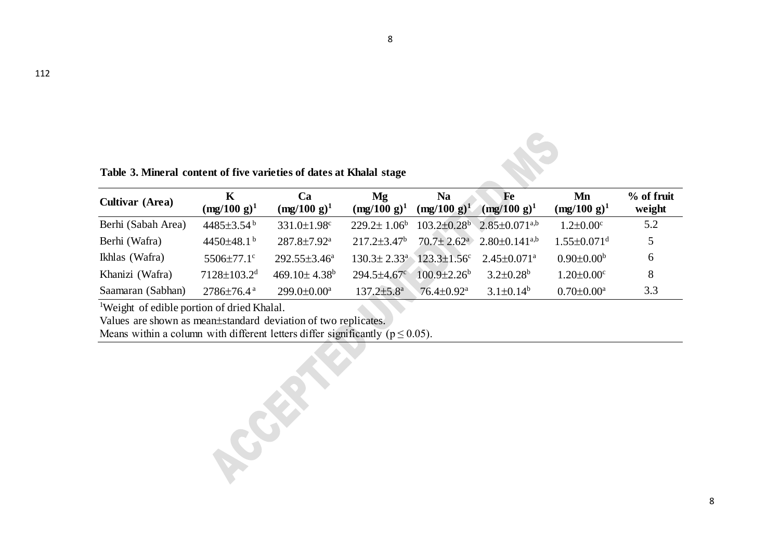**Table 3. Mineral content of five varieties of dates at Khalal stage**

| <b>Cultivar</b> (Area) | $\mathbf K$<br>$(mg/100 g)^1$ | Ca<br>$(mg/100 g)^1$           | Mg<br>$(mg/100 g)^1$          | <b>Na</b><br>$(mg/100 g)^1$   | Fe<br>$(mg/100 g)^1$                                | Mn<br>$(mg/100 g)^1$          | % of fruit<br>weight |
|------------------------|-------------------------------|--------------------------------|-------------------------------|-------------------------------|-----------------------------------------------------|-------------------------------|----------------------|
| Berhi (Sabah Area)     | $4485 \pm 3.54^{\mathrm{b}}$  | $331.0 \pm 1.98$ <sup>c</sup>  | $229.2 \pm 1.06^b$            | $103.2 \pm 0.28$ <sup>b</sup> | $2.85 \pm 0.071^{a,b}$                              | $1.2 \pm 0.00$ <sup>c</sup>   | 5.2                  |
| Berhi (Wafra)          | 4450 $\pm$ 48.1 <sup>b</sup>  | $287.8 \pm 7.92^{\text{a}}$    | $217.2 + 3.47^b$              |                               | $70.7 \pm 2.62^{\circ}$ 2.80 ± 0.141 <sup>a,b</sup> | $1.55 \pm 0.071$ <sup>d</sup> |                      |
| Ikhlas (Wafra)         | $5506 \pm 77.1$ °             | $292.55 \pm 3.46^a$            | $130.3 \pm 2.33$ <sup>a</sup> | $123.3 \pm 1.56^c$            | $2.45 \pm 0.071$ <sup>a</sup>                       | $0.90 \pm 0.00^b$             | 6                    |
| Khanizi (Wafra)        | $7128 \pm 103.2$ <sup>d</sup> | $469.10 \pm 4.38$ <sup>b</sup> | $294.5 \pm 4.67$ °            | $100.9 \pm 2.26^b$            | $3.2 \pm 0.28^b$                                    | $1.20 \pm 0.00$ <sup>c</sup>  | 8                    |
| Saamaran (Sabhan)      | $2786 \pm 76.4$ <sup>a</sup>  | $299.0 \pm 0.00^a$             | $137.2 \pm 5.8^{\mathrm{a}}$  | $76.4 \pm 0.92$ <sup>a</sup>  | $3.1\pm0.14^b$                                      | $0.70 \pm 0.00^a$             | 3.3                  |

8

<sup>1</sup>Weight of edible portion of dried Khalal.

Values are shown as mean±standard deviation of two replicates.

Means within a column with different letters differ significantly ( $p \le 0.05$ ).

CONSIGNER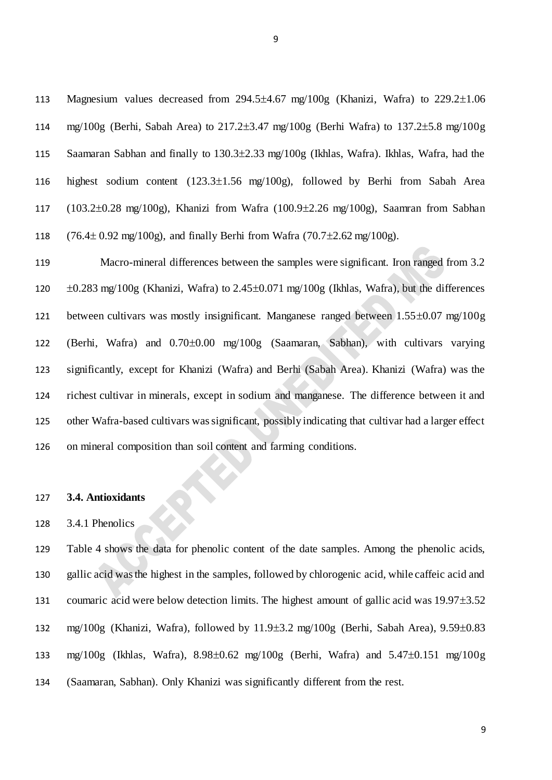113 Magnesium values decreased from  $294.5\pm4.67$  mg/ $100g$  (Khanizi, Wafra) to  $229.2\pm1.06$ 114 mg/100g (Berhi, Sabah Area) to 217.23.47 mg/100g (Berhi Wafra) to 137.25.8 mg/100g 115 Saamaran Sabhan and finally to 130.3±2.33 mg/100g (Ikhlas, Wafra). Ikhlas, Wafra, had the 116 highest sodium content  $(123.3\pm1.56 \text{ mg}/100g)$ , followed by Berhi from Sabah Area 117 (103.2 $\pm$ 0.28 mg/100g), Khanizi from Wafra (100.9 $\pm$ 2.26 mg/100g), Saamran from Sabhan 118  $(76.4 \pm 0.92 \text{ mg}/100 \text{g})$ , and finally Berhi from Wafra  $(70.7 \pm 2.62 \text{ mg}/100 \text{g})$ .

 Macro-mineral differences between the samples were significant. Iron ranged from 3.2  $\pm 0.283$  mg/100g (Khanizi, Wafra) to 2.45 $\pm 0.071$  mg/100g (Ikhlas, Wafra), but the differences 121 between cultivars was mostly insignificant. Manganese ranged between  $1.55\pm0.07$  mg/100g 122 (Berhi, Wafra) and  $0.70\pm0.00$  mg/100g (Saamaran, Sabhan), with cultivars varying significantly, except for Khanizi (Wafra) and Berhi (Sabah Area). Khanizi (Wafra) was the richest cultivar in minerals, except in sodium and manganese. The difference between it and other Wafra-based cultivars was significant, possibly indicating that cultivar had a larger effect on mineral composition than soil content and farming conditions.

### 127 **3.4. Antioxidants**

### 128 3.4.1 Phenolics

129 Table 4 shows the data for phenolic content of the date samples. Among the phenolic acids, 130 gallic acid was the highest in the samples, followed by chlorogenic acid, while caffeic acid and 131 coumaric acid were below detection limits. The highest amount of gallic acid was  $19.97\pm3.52$ 132 mg/100g (Khanizi, Wafra), followed by  $11.9\pm3.2$  mg/100g (Berhi, Sabah Area),  $9.59\pm0.83$ 133 mg/100g (Ikhlas, Wafra),  $8.98 \pm 0.62$  mg/100g (Berhi, Wafra) and  $5.47 \pm 0.151$  mg/100g 134 (Saamaran, Sabhan). Only Khanizi was significantly different from the rest.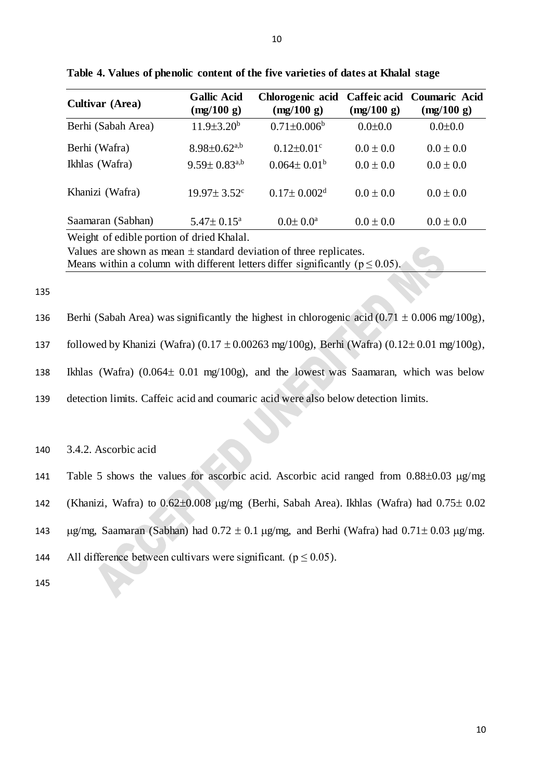| <b>Cultivar (Area)</b>                                                 | <b>Gallic Acid</b><br>(mg/100 g) | Chlorogenic acid<br>(mg/100 g) | Caffeic acid<br>(mg/100 g) | <b>Coumaric Acid</b><br>(mg/100 g) |  |  |
|------------------------------------------------------------------------|----------------------------------|--------------------------------|----------------------------|------------------------------------|--|--|
| Berhi (Sabah Area)                                                     | $11.9 \pm 3.20^b$                | $0.71 \pm 0.006^b$             | $0.0 \pm 0.0$              | $0.0 \pm 0.0$                      |  |  |
| Berhi (Wafra)                                                          | $8.98 \pm 0.62$ <sup>a,b</sup>   | $0.12 \pm 0.01$ <sup>c</sup>   | $0.0 \pm 0.0$              | $0.0 \pm 0.0$                      |  |  |
| Ikhlas (Wafra)                                                         | $9.59 \pm 0.83^{a,b}$            | $0.064 \pm 0.01^b$             | $0.0 \pm 0.0$              | $0.0 \pm 0.0$                      |  |  |
| Khanizi (Wafra)                                                        | $19.97 \pm 3.52$ <sup>c</sup>    | $0.17 \pm 0.002$ <sup>d</sup>  | $0.0 \pm 0.0$              | $0.0 \pm 0.0$                      |  |  |
| Saamaran (Sabhan)                                                      | $5.47 \pm 0.15^{\text{a}}$       | $0.0 \pm 0.0^{\text{a}}$       | $0.0 \pm 0.0$              | $0.0 \pm 0.0$                      |  |  |
| Weight of edible portion of dried Khalal.                              |                                  |                                |                            |                                    |  |  |
| Values are shown as mean $\pm$ standard deviation of three replicates. |                                  |                                |                            |                                    |  |  |

**Table 4. Values of phenolic content of the five varieties of dates at Khalal stage**

Means within a column with different letters differ significantly ( $p \le 0.05$ ).

135

136 Berhi (Sabah Area) was significantly the highest in chlorogenic acid  $(0.71 \pm 0.006 \text{ mg}/100 \text{g})$ ,

137 followed by Khanizi (Wafra)  $(0.17 \pm 0.00263 \text{ mg}/100 \text{g})$ , Berhi (Wafra)  $(0.12 \pm 0.01 \text{ mg}/100 \text{g})$ ,

138 Ikhlas (Wafra)  $(0.064 \pm 0.01 \text{ mg}/100 \text{g})$ , and the lowest was Saamaran, which was below

139 detection limits. Caffeic acid and coumaric acid were also below detection limits.

140 3.4.2. Ascorbic acid

141 Table 5 shows the values for ascorbic acid. Ascorbic acid ranged from  $0.88\pm0.03$   $\mu$ g/mg

- 142 (Khanizi, Wafra) to  $0.62\pm0.008$   $\mu$ g/mg (Berhi, Sabah Area). Ikhlas (Wafra) had  $0.75\pm0.02$
- 143  $\mu$ g/mg, Saamaran (Sabhan) had 0.72  $\pm$  0.1  $\mu$ g/mg, and Berhi (Wafra) had 0.71 $\pm$  0.03  $\mu$ g/mg.

144 All difference between cultivars were significant. ( $p \le 0.05$ ).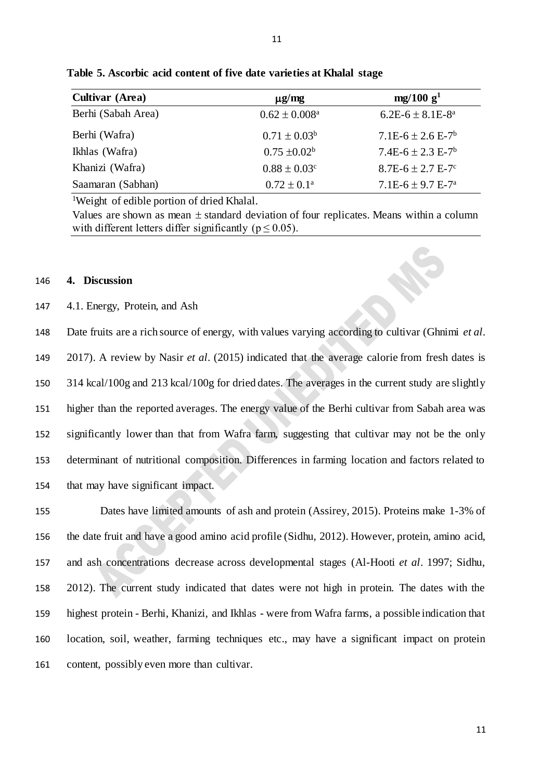| <b>Cultivar (Area)</b> | $\mu$ g/mg                   | mg/100 g <sup>1</sup>            |
|------------------------|------------------------------|----------------------------------|
| Berhi (Sabah Area)     | $0.62 \pm 0.008^a$           | $6.2E-6 \pm 8.1E-8^a$            |
| Berhi (Wafra)          | $0.71 \pm 0.03^b$            | $7.1E-6 \pm 2.6E-7$ <sup>b</sup> |
| Ikhlas (Wafra)         | $0.75 \pm 0.02^b$            | $7.4E-6 \pm 2.3E-7$ <sup>b</sup> |
| Khanizi (Wafra)        | $0.88 \pm 0.03$ <sup>c</sup> | $8.7E - 6 \pm 2.7E - 7$ °        |
| Saamaran (Sabhan)      | $0.72 \pm 0.1^{\text{a}}$    | $7.1E-6 \pm 9.7E-7^a$            |

**Table 5. Ascorbic acid content of five date varieties at Khalal stage**

<sup>1</sup>Weight of edible portion of dried Khalal.

Values are shown as mean  $\pm$  standard deviation of four replicates. Means within a column with different letters differ significantly ( $p \le 0.05$ ).

### 146 **4. Discussion**

### 147 4.1. Energy, Protein, and Ash

 Date fruits are a rich source of energy, with values varying according to cultivar (Ghnimi *et al*. 2017). A review by Nasir *et al*. (2015) indicated that the average calorie from fresh dates is 314 kcal/100g and 213 kcal/100g for dried dates. The averages in the current study are slightly higher than the reported averages. The energy value of the Berhi cultivar from Sabah area was significantly lower than that from Wafra farm, suggesting that cultivar may not be the only determinant of nutritional composition. Differences in farming location and factors related to that may have significant impact.

 Dates have limited amounts of ash and protein (Assirey, 2015). Proteins make 1-3% of the date fruit and have a good amino acid profile (Sidhu, 2012). However, protein, amino acid, and ash concentrations decrease across developmental stages (Al-Hooti *et al*. 1997; Sidhu, 2012). The current study indicated that dates were not high in protein. The dates with the highest protein - Berhi, Khanizi, and Ikhlas - were from Wafra farms, a possible indication that location, soil, weather, farming techniques etc., may have a significant impact on protein content, possibly even more than cultivar.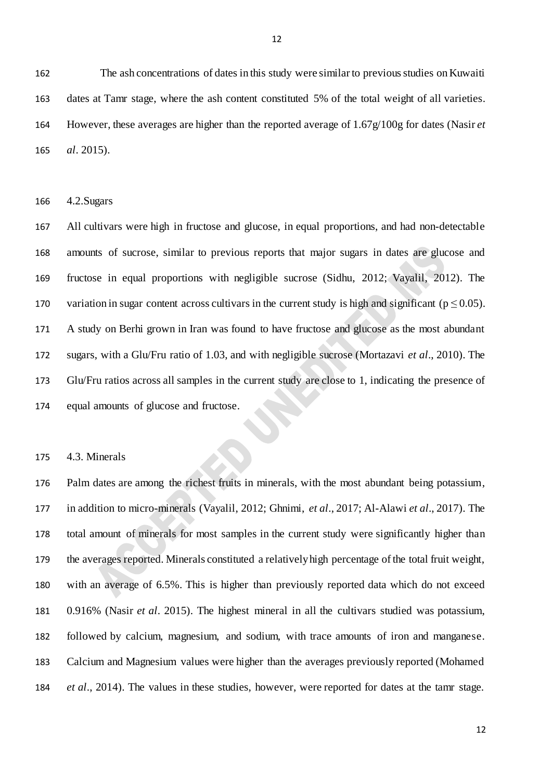162 The ash concentrations of dates in this study were similar to previous studies on Kuwaiti dates at Tamr stage, where the ash content constituted 5% of the total weight of all varieties. However, these averages are higher than the reported average of 1.67g/100g for dates (Nasir *et al*. 2015).

4.2.Sugars

 All cultivars were high in fructose and glucose, in equal proportions, and had non-detectable amounts of sucrose, similar to previous reports that major sugars in dates are glucose and fructose in equal proportions with negligible sucrose (Sidhu, 2012; Vayalil, 2012). The 170 variation in sugar content across cultivars in the current study is high and significant ( $p \le 0.05$ ). A study on Berhi grown in Iran was found to have fructose and glucose as the most abundant sugars, with a Glu/Fru ratio of 1.03, and with negligible sucrose (Mortazavi *et al*., 2010). The Glu/Fru ratios across all samples in the current study are close to 1, indicating the presence of equal amounts of glucose and fructose.

4.3. Minerals

 Palm dates are among the richest fruits in minerals, with the most abundant being potassium, in addition to micro-minerals (Vayalil, 2012; Ghnimi, *et al*., 2017; Al-Alawi *et al*., 2017). The total amount of minerals for most samples in the current study were significantly higher than the averages reported. Minerals constituted a relatively high percentage of the total fruit weight, with an average of 6.5%. This is higher than previously reported data which do not exceed 0.916% (Nasir *et al*. 2015). The highest mineral in all the cultivars studied was potassium, followed by calcium, magnesium, and sodium, with trace amounts of iron and manganese. Calcium and Magnesium values were higher than the averages previously reported (Mohamed *et al*., 2014). The values in these studies, however, were reported for dates at the tamr stage.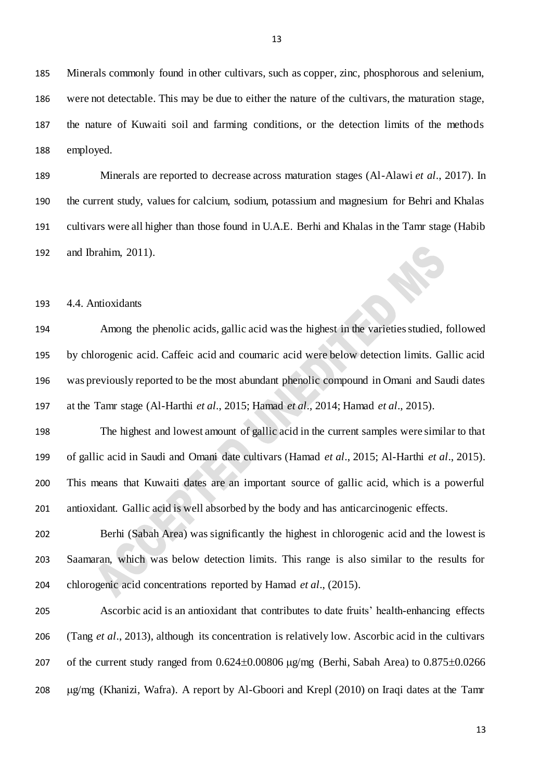Minerals commonly found in other cultivars, such as copper, zinc, phosphorous and selenium, were not detectable. This may be due to either the nature of the cultivars, the maturation stage, the nature of Kuwaiti soil and farming conditions, or the detection limits of the methods employed.

 Minerals are reported to decrease across maturation stages (Al-Alawi *et al*., 2017). In the current study, values for calcium, sodium, potassium and magnesium for Behri and Khalas cultivars were all higher than those found in U.A.E. Berhi and Khalas in the Tamr stage (Habib and Ibrahim, 2011).

4.4. Antioxidants

 Among the phenolic acids, gallic acid wasthe highest in the varieties studied, followed by chlorogenic acid. Caffeic acid and coumaric acid were below detection limits. Gallic acid was previously reported to be the most abundant phenolic compound in Omani and Saudi dates at the Tamr stage (Al-Harthi *et al*., 2015; Hamad *et al*., 2014; Hamad *et al*., 2015).

 The highest and lowest amount of gallic acid in the current samples were similar to that of gallic acid in Saudi and Omani date cultivars (Hamad *et al*., 2015; Al-Harthi *et al*., 2015). This means that Kuwaiti dates are an important source of gallic acid, which is a powerful antioxidant. Gallic acid is well absorbed by the body and has anticarcinogenic effects.

 Berhi (Sabah Area) was significantly the highest in chlorogenic acid and the lowest is Saamaran, which was below detection limits. This range is also similar to the results for chlorogenic acid concentrations reported by Hamad *et al*., (2015).

 Ascorbic acid is an antioxidant that contributes to date fruits' health-enhancing effects (Tang *et al*., 2013), although its concentration is relatively low. Ascorbic acid in the cultivars 207 of the current study ranged from  $0.624 \pm 0.00806$   $\mu$ g/mg (Berhi, Sabah Area) to  $0.875 \pm 0.0266$ 208 µg/mg (Khanizi, Wafra). A report by Al-Gboori and Krepl (2010) on Iraqi dates at the Tamr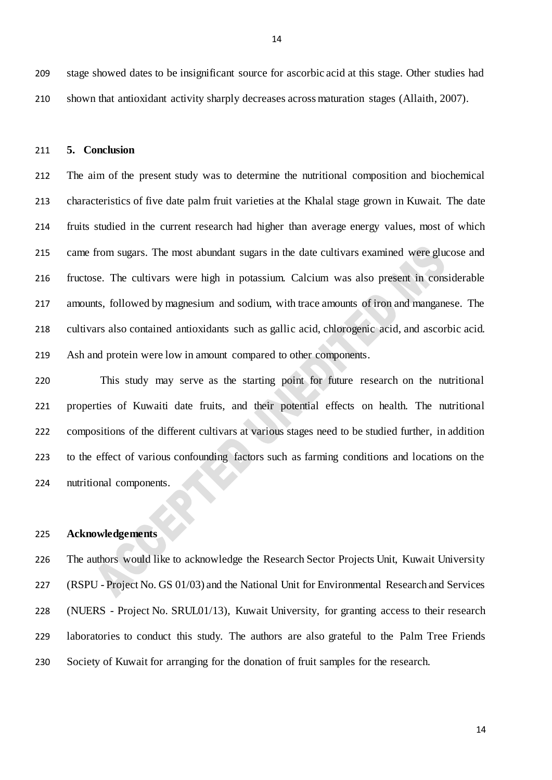stage showed dates to be insignificant source for ascorbic acid at this stage. Other studies had shown that antioxidant activity sharply decreases across maturation stages (Allaith, 2007).

#### **5. Conclusion**

 The aim of the present study was to determine the nutritional composition and biochemical characteristics of five date palm fruit varieties at the Khalal stage grown in Kuwait. The date fruits studied in the current research had higher than average energy values, most of which came from sugars. The most abundant sugars in the date cultivars examined were glucose and fructose. The cultivars were high in potassium. Calcium was also present in considerable amounts, followed by magnesium and sodium, with trace amounts of iron and manganese. The cultivars also contained antioxidants such as gallic acid, chlorogenic acid, and ascorbic acid. Ash and protein were low in amount compared to other components.

 This study may serve as the starting point for future research on the nutritional properties of Kuwaiti date fruits, and their potential effects on health. The nutritional compositions of the different cultivars at various stages need to be studied further, in addition to the effect of various confounding factors such as farming conditions and locations on the nutritional components.

## **Acknowledgements**

 The authors would like to acknowledge the Research Sector Projects Unit, Kuwait University (RSPU - Project No. GS 01/03) and the National Unit for Environmental Research and Services (NUERS - Project No. SRUL01/13), Kuwait University, for granting access to their research laboratories to conduct this study. The authors are also grateful to the Palm Tree Friends Society of Kuwait for arranging for the donation of fruit samples for the research.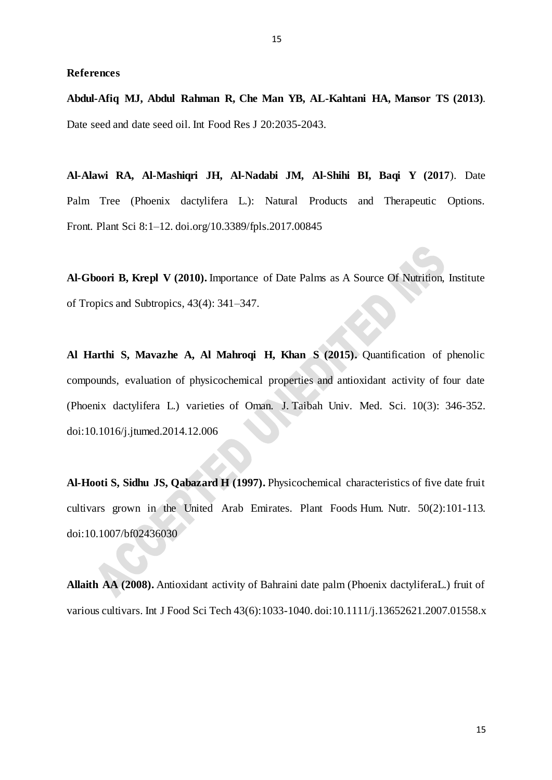#### **References**

**Abdul-Afiq MJ, Abdul Rahman R, Che Man YB, AL-Kahtani HA, Mansor TS (2013)**. Date seed and date seed oil. Int Food Res J 20:2035-2043.

**Al-Alawi RA, Al-Mashiqri JH, Al-Nadabi JM, Al-Shihi BI, Baqi Y (2017**). Date Palm Tree (Phoenix dactylifera L.): Natural Products and Therapeutic Options. Front. Plant Sci 8:1–12. [doi.org/10.3389/fpls.2017.00845](https://doi.org/10.3389/fpls.2017.00845)

**Al-Gboori B, Krepl V (2010).** Importance of Date Palms as A Source Of Nutrition, Institute of Tropics and Subtropics, 43(4): 341–347.

**Al Harthi S, Mavazhe A, Al Mahroqi H, Khan S (2015).** Quantification of phenolic compounds, evaluation of physicochemical properties and antioxidant activity of four date (Phoenix dactylifera L.) varieties of Oman. J. Taibah Univ. Med. Sci. 10(3): 346-352. doi:10.1016/j.jtumed.2014.12.006

**Al-Hooti S, Sidhu JS, Qabazard H (1997).** Physicochemical characteristics of five date fruit cultivars grown in the United Arab Emirates. Plant Foods Hum. Nutr. 50(2):101-113. doi:10.1007/bf02436030

**Allaith AA (2008).** Antioxidant activity of Bahraini date palm (Phoenix dactyliferaL.) fruit of various cultivars. Int J Food Sci Tech 43(6):1033-1040. doi:10.1111/j.13652621.2007.01558.x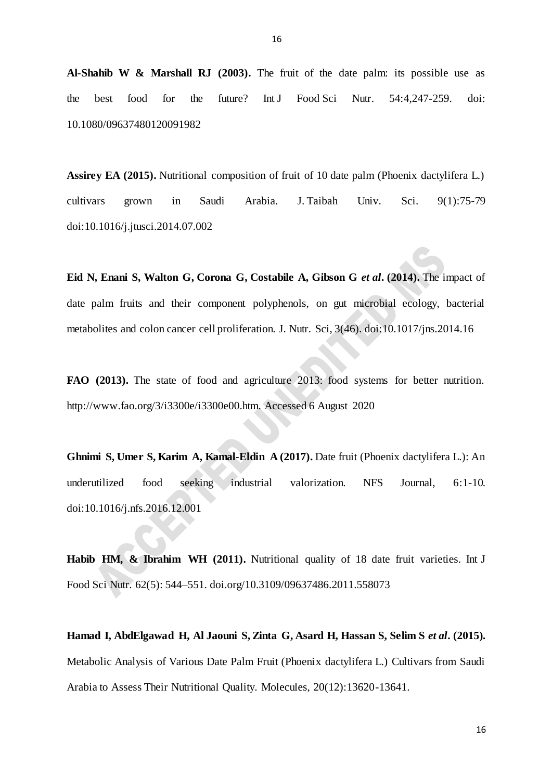**Al-Shahib W & Marshall RJ (2003).** The fruit of the date palm: its possible use as the best food for the future? Int J Food Sci Nutr. 54:4,247-259. doi: 10.1080/09637480120091982

Assirey EA (2015). Nutritional composition of fruit of 10 date palm (Phoenix dactylifera L.) cultivars grown in Saudi Arabia. J. Taibah Univ. Sci. 9(1):75-79 doi:10.1016/j.jtusci.2014.07.002

**Eid N, Enani S, Walton G, Corona G, Costabile A, Gibson G** *et al***. (2014).** The impact of date palm fruits and their component polyphenols, on gut microbial ecology, bacterial metabolites and colon cancer cell proliferation. J. Nutr. Sci, 3(46). doi:10.1017/jns.2014.16

**FAO (2013).** The state of food and agriculture 2013: food systems for better nutrition. [http://www.fao.org/3/i3300e/i3300e00.htm.](http://www.fao.org/3/i3300e/i3300e00.htm) Accessed 6 August 2020

**Ghnimi S, Umer S, Karim A, Kamal-Eldin A (2017).** Date fruit (Phoenix dactylifera L.): An underutilized food seeking industrial valorization. NFS Journal, 6:1-10. doi:10.1016/j.nfs.2016.12.001

Habib HM, & Ibrahim WH (2011). Nutritional quality of 18 date fruit varieties. Int J Food Sci Nutr. 62(5): 544–551. [doi.org/10.3109/09637486.2011.558073](https://doi.org/10.3109/09637486.2011.558073)

**Hamad I, AbdElgawad H, Al Jaouni S, Zinta G, Asard H, Hassan S, Selim S** *et al***. (2015).** Metabolic Analysis of Various Date Palm Fruit (Phoenix dactylifera L.) Cultivars from Saudi Arabia to Assess Their Nutritional Quality. Molecules, 20(12):13620-13641.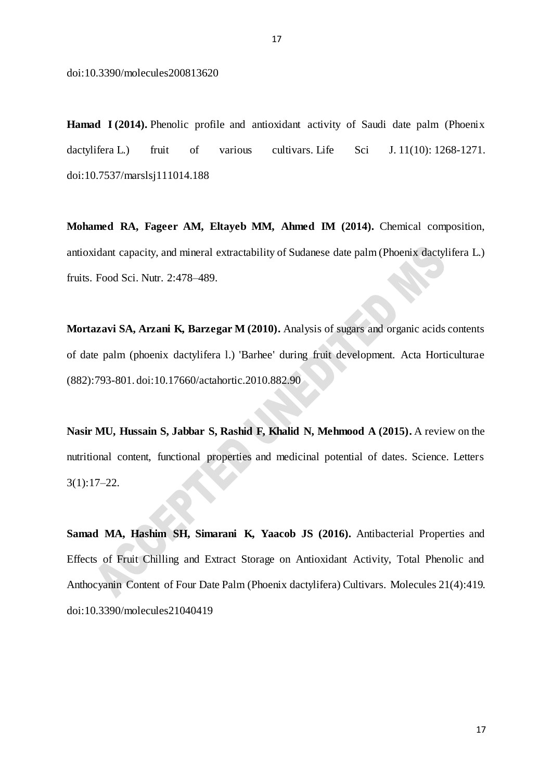doi:10.3390/molecules200813620

**Hamad I (2014).** Phenolic profile and antioxidant activity of Saudi date palm (Phoenix dactylifera L.) fruit of various cultivars. Life Sci J. 11(10): 1268-1271. doi[:10.7537/marslsj111014.188](http://www.dx.doi.org/10.7537/marslsj111014.188)

**Mohamed RA, Fageer AM, Eltayeb MM, Ahmed IM (2014).** Chemical composition, antioxidant capacity, and mineral extractability of Sudanese date palm (Phoenix dactylifera L.) fruits. Food Sci. Nutr. 2:478–489.

**Mortazavi SA, Arzani K, Barzegar M (2010).** Analysis of sugars and organic acids contents of date palm (phoenix dactylifera l.) 'Barhee' during fruit development. Acta Horticulturae (882):793-801. doi:10.17660/actahortic.2010.882.90

**Nasir MU, Hussain S, Jabbar S, Rashid F, Khalid N, Mehmood A (2015).** A review on the nutritional content, functional properties and medicinal potential of dates. Science. Letters  $3(1):17-22.$ 

**Samad MA, Hashim SH, Simarani K, Yaacob JS (2016).** Antibacterial Properties and Effects of Fruit Chilling and Extract Storage on Antioxidant Activity, Total Phenolic and Anthocyanin Content of Four Date Palm (Phoenix dactylifera) Cultivars. Molecules 21(4):419. doi:10.3390/molecules21040419